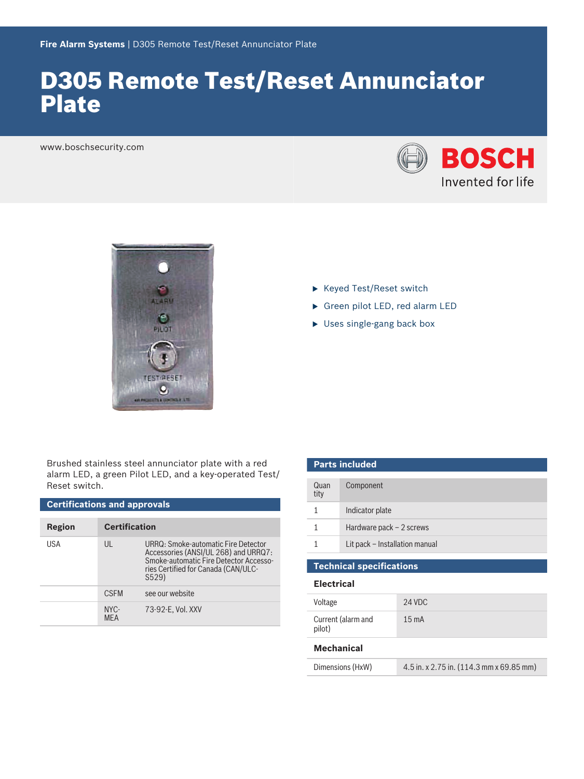# D305 Remote Test/Reset Annunciator Plate

www.boschsecurity.com





Brushed stainless steel annunciator plate with a red alarm LED, a green Pilot LED, and a key‑operated Test/ Reset switch.

| <b>Certifications and approvals</b> |                      |                                                                                                                                                                       |  |  |
|-------------------------------------|----------------------|-----------------------------------------------------------------------------------------------------------------------------------------------------------------------|--|--|
| Region                              | <b>Certification</b> |                                                                                                                                                                       |  |  |
| USA                                 | UL                   | URRQ: Smoke-automatic Fire Detector<br>Accessories (ANSI/UL 268) and URRQ7:<br>Smoke-automatic Fire Detector Accesso-<br>ries Certified for Canada (CAN/ULC-<br>S529) |  |  |
|                                     | <b>CSFM</b>          | see our website                                                                                                                                                       |  |  |
|                                     | NYC-<br><b>MFA</b>   | 73-92-E. Vol. XXV                                                                                                                                                     |  |  |

- $\blacktriangleright$  Keyed Test/Reset switch
- ▶ Green pilot LED, red alarm LED
- $\blacktriangleright$  Uses single-gang back box

| <b>Parts included</b>           |                                |  |  |
|---------------------------------|--------------------------------|--|--|
| Quan<br>tity                    | Component                      |  |  |
| 1                               | Indicator plate                |  |  |
|                                 | Hardware pack $-2$ screws      |  |  |
|                                 | Lit pack - Installation manual |  |  |
|                                 |                                |  |  |
| <b>Technical specifications</b> |                                |  |  |

### **Electrical**

| Voltage                      | 24 VDC           |
|------------------------------|------------------|
| Current (alarm and<br>pilot) | 15 <sub>mA</sub> |

### **Mechanical**

| Dimensions (HxW) | 4.5 in. x 2.75 in. (114.3 mm x 69.85 mm) |
|------------------|------------------------------------------|
|------------------|------------------------------------------|